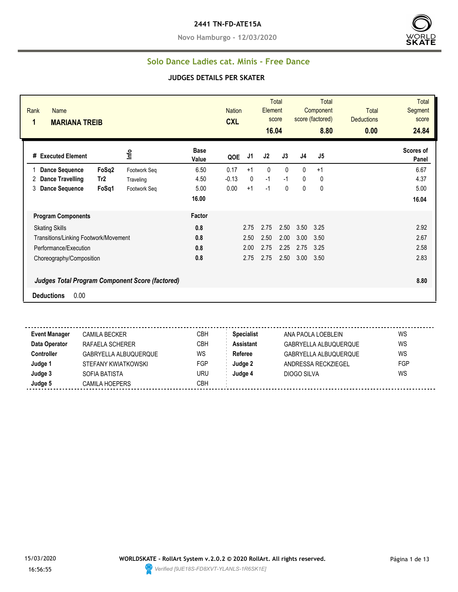**Novo Hamburgo - 12/03/2020**



## **Solo Dance Ladies cat. Minis - Free Dance**

#### **JUDGES DETAILS PER SKATER**

| Rank<br>Name<br>1<br><b>MARIANA TREIB</b>              |                 |                           |                      | <b>Nation</b><br><b>CXL</b> |              | Element<br>16.04 | <b>Total</b><br>score | <b>Total</b><br>Component<br>score (factored)<br>8.80 |             | <b>Total</b><br><b>Deductions</b><br>0.00 | Total<br><b>Segment</b><br>score<br>24.84 |
|--------------------------------------------------------|-----------------|---------------------------|----------------------|-----------------------------|--------------|------------------|-----------------------|-------------------------------------------------------|-------------|-------------------------------------------|-------------------------------------------|
| # Executed Element                                     |                 | $\mathsf{L}^{\mathsf{e}}$ | <b>Base</b><br>Value | QOE                         | J1           | J2               | J3                    | J4                                                    | J5          |                                           | Scores of<br>Panel                        |
| <b>Dance Sequence</b>                                  | FoSq2           | Footwork Seq              | 6.50                 | 0.17                        | $+1$         | $\mathbf{0}$     | $\mathbf{0}$          | 0                                                     | $+1$        |                                           | 6.67                                      |
| 2<br><b>Dance Travelling</b>                           | Tr <sub>2</sub> | Traveling                 | 4.50                 | $-0.13$                     | $\mathbf{0}$ | $-1$             | $-1$                  | 0                                                     | 0           |                                           | 4.37                                      |
| <b>Dance Sequence</b><br>3                             | FoSq1           | Footwork Seq              | 5.00                 | 0.00                        | $+1$         | $-1$             | 0                     | 0                                                     | $\mathbf 0$ |                                           | 5.00                                      |
|                                                        |                 |                           | 16.00                |                             |              |                  |                       |                                                       |             |                                           | 16.04                                     |
| <b>Program Components</b>                              |                 |                           | Factor               |                             |              |                  |                       |                                                       |             |                                           |                                           |
| <b>Skating Skills</b>                                  |                 |                           | 0.8                  |                             | 2.75         | 2.75             | 2.50                  | 3.50                                                  | 3.25        |                                           | 2.92                                      |
| Transitions/Linking Footwork/Movement                  |                 |                           | 0.8                  |                             | 2.50         | 2.50             | 2.00                  | 3.00                                                  | 3.50        |                                           | 2.67                                      |
| Performance/Execution                                  |                 |                           | 0.8                  |                             | 2.00         | 2.75             | 2.25                  | 2.75                                                  | 3.25        |                                           | 2.58                                      |
| Choreography/Composition                               |                 |                           | 0.8                  |                             | 2.75         | 2.75             | 2.50                  | 3.00                                                  | 3.50        |                                           | 2.83                                      |
| <b>Judges Total Program Component Score (factored)</b> |                 |                           |                      |                             |              |                  |                       |                                                       |             |                                           | 8.80                                      |
| 0.00<br><b>Deductions</b>                              |                 |                           |                      |                             |              |                  |                       |                                                       |             |                                           |                                           |

 $\sim$   $\sim$   $\sim$ **Event Manager** CAMILA BECKER CBH **Specialist** ANA PAOLA LOEBLEIN WS **Data Operator** RAFAELA SCHERER CBH **Assistant** GABRYELLA ALBUQUERQUE WS **Controller** GABRYELLA ALBUQUERQUE WS **Referee** GABRYELLA ALBUQUERQUE WS **Judge 1** STEFANY KWIATKOWSKI FGP **Judge 2** ANDRESSA RECKZIEGEL FGP **Judge 3** SOFIA BATISTA URU **Judge 4** DIOGO SILVA WS **Judge 5** CAMILA HOEPERS CBH

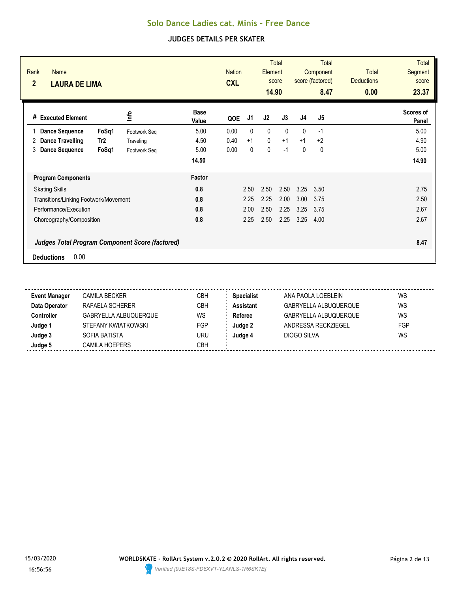| Rank<br>Name<br>$\overline{2}$<br><b>LAURA DE LIMA</b> |                      | <b>Nation</b><br><b>CXL</b> | <b>Total</b><br>Element<br>score<br>14.90 |              | <b>Total</b><br>Component<br>score (factored)<br>8.47 |                | <b>Total</b><br><b>Deductions</b><br>0.00 | <b>Total</b><br><b>Segment</b><br>score<br>23.37 |
|--------------------------------------------------------|----------------------|-----------------------------|-------------------------------------------|--------------|-------------------------------------------------------|----------------|-------------------------------------------|--------------------------------------------------|
| <u>lnfo</u><br><b>Executed Element</b><br>#            | <b>Base</b><br>Value | J1<br>QOE                   | J2                                        | J3           | J <sub>4</sub>                                        | J <sub>5</sub> |                                           | Scores of<br>Panel                               |
| <b>Dance Sequence</b><br>FoSq1                         | 5.00<br>Footwork Seq | 0.00<br>$\mathbf{0}$        | $\mathbf{0}$                              | $\mathbf{0}$ | $\mathbf{0}$                                          | $-1$           |                                           | 5.00                                             |
| Tr <sub>2</sub><br>Dance Travelling<br>2               | 4.50<br>Traveling    | 0.40<br>$+1$                | $\mathbf 0$                               | $+1$         | $+1$                                                  | $+2$           |                                           | 4.90                                             |
| <b>Dance Sequence</b><br>FoSq1<br>3                    | 5.00<br>Footwork Seq | 0.00<br>0                   | 0                                         | $-1$         | 0                                                     | 0              |                                           | 5.00                                             |
|                                                        | 14.50                |                             |                                           |              |                                                       |                |                                           | 14.90                                            |
| <b>Program Components</b>                              | Factor               |                             |                                           |              |                                                       |                |                                           |                                                  |
| <b>Skating Skills</b>                                  | 0.8                  | 2.50                        | 2.50                                      | 2.50         | 3.25                                                  | 3.50           |                                           | 2.75                                             |
| Transitions/Linking Footwork/Movement                  | 0.8                  | 2.25                        | 2.25                                      | 2.00         | 3.00                                                  | 3.75           |                                           | 2.50                                             |
| Performance/Execution                                  | 0.8                  | 2.00                        | 2.50                                      | 2.25         | 3.25                                                  | 3.75           |                                           | 2.67                                             |
| Choreography/Composition                               | 0.8                  | 2.25                        | 2.50                                      | 2.25         | 3.25                                                  | 4.00           |                                           | 2.67                                             |
| Judges Total Program Component Score (factored)        |                      |                             |                                           |              |                                                       |                |                                           | 8.47                                             |
| 0.00<br><b>Deductions</b>                              |                      |                             |                                           |              |                                                       |                |                                           |                                                  |

| <b>Event Manager</b> | <b>CAMILA BECKER</b>  | CBH        | <b>Specialist</b> | ANA PAOLA LOEBLEIN    | WS  |
|----------------------|-----------------------|------------|-------------------|-----------------------|-----|
| Data Operator        | RAFAELA SCHERER       | СВН        | <b>Assistant</b>  | GABRYELLA ALBUQUERQUE | WS  |
| Controller           | GABRYELLA ALBUQUERQUE | WS         | Referee           | GABRYELLA ALBUQUERQUE | WS  |
| Judge '              | STEFANY KWIATKOWSKI   | <b>FGP</b> | Judge 2           | ANDRESSA RECKZIEGEL   | FGP |
| Judge 3              | SOFIA BATISTA         | uru        | Judge 4           | DIOGO SILVA           | WS  |
| Judge 5              | <b>CAMILA HOEPERS</b> | СВН        |                   |                       |     |
|                      |                       |            |                   |                       |     |

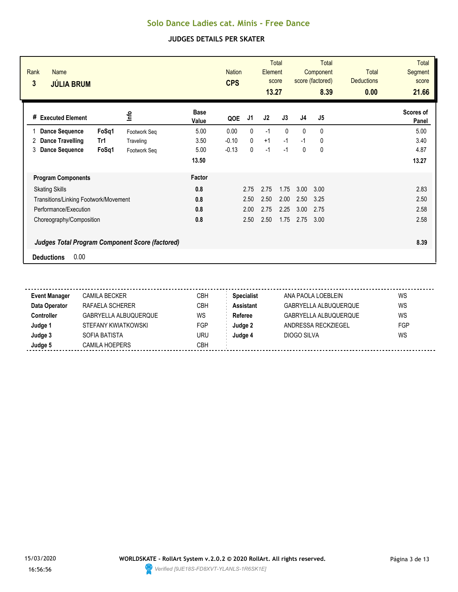| Rank<br><b>Name</b><br>3<br><b>JÚLIA BRUM</b> |                                                        |                      | <b>Nation</b><br><b>CPS</b> |              | Element<br>13.27 | Total<br>score |                | <b>Total</b><br>Component<br>score (factored)<br>8.39 | <b>Total</b><br><b>Deductions</b><br>0.00 | <b>Total</b><br><b>Segment</b><br>score<br>21.66 |
|-----------------------------------------------|--------------------------------------------------------|----------------------|-----------------------------|--------------|------------------|----------------|----------------|-------------------------------------------------------|-------------------------------------------|--------------------------------------------------|
| <b>Executed Element</b><br>#                  | ٩ų                                                     | <b>Base</b><br>Value | QOE                         | J1           | J2               | J3             | J <sub>4</sub> | J5                                                    |                                           | Scores of<br>Panel                               |
| <b>Dance Sequence</b>                         | FoSq1<br>Footwork Seq                                  | 5.00                 | 0.00                        | 0            | $-1$             | $\Omega$       | $\mathbf{0}$   | $\mathbf{0}$                                          |                                           | 5.00                                             |
| <b>Dance Travelling</b><br>2                  | Tr1<br>Traveling                                       | 3.50                 | $-0.10$                     | $\mathbf{0}$ | $+1$             | $-1$           | $-1$           | 0                                                     |                                           | 3.40                                             |
| <b>Dance Sequence</b><br>3                    | FoSq1<br>Footwork Seq                                  | 5.00                 | $-0.13$                     | 0            | $-1$             | $-1$           | 0              | 0                                                     |                                           | 4.87                                             |
|                                               |                                                        | 13.50                |                             |              |                  |                |                |                                                       |                                           | 13.27                                            |
| <b>Program Components</b>                     |                                                        | Factor               |                             |              |                  |                |                |                                                       |                                           |                                                  |
| <b>Skating Skills</b>                         |                                                        | 0.8                  |                             | 2.75         | 2.75             | 1.75           | 3.00           | 3.00                                                  |                                           | 2.83                                             |
| Transitions/Linking Footwork/Movement         |                                                        | 0.8                  |                             | 2.50         | 2.50             | 2.00           | 2.50           | 3.25                                                  |                                           | 2.50                                             |
| Performance/Execution                         |                                                        | 0.8                  |                             | 2.00         | 2.75             | 2.25           | 3.00           | 2.75                                                  |                                           | 2.58                                             |
| Choreography/Composition                      |                                                        | 0.8                  |                             | 2.50         | 2.50             | 1.75           | 2.75           | 3.00                                                  |                                           | 2.58                                             |
|                                               | <b>Judges Total Program Component Score (factored)</b> |                      |                             |              |                  |                |                |                                                       |                                           | 8.39                                             |
| 0.00<br><b>Deductions</b>                     |                                                        |                      |                             |              |                  |                |                |                                                       |                                           |                                                  |

| <b>Event Manager</b> | <b>CAMILA BECKER</b>  | СВН        | <b>Specialist</b> | ANA PAOLA LOEBLEIN           | WS  |
|----------------------|-----------------------|------------|-------------------|------------------------------|-----|
| Data Operator        | RAFAELA SCHERER       | СВН        | <b>Assistant</b>  | <b>GABRYELLA ALBUQUERQUE</b> | WS  |
| <b>Controller</b>    | GABRYELLA ALBUQUERQUE | WS         | Referee           | <b>GABRYELLA ALBUQUERQUE</b> | WS  |
| Judge 1              | STEFANY KWIATKOWSKI   | <b>FGP</b> | Judge 2           | ANDRESSA RECKZIEGEL          | FGP |
| Judge 3              | SOFIA BATISTA         | URU        | Judge 4           | DIOGO SILVA                  | WS  |
| Judge 5              | <b>CAMILA HOEPERS</b> | СВН        |                   |                              |     |
|                      |                       |            |                   |                              |     |

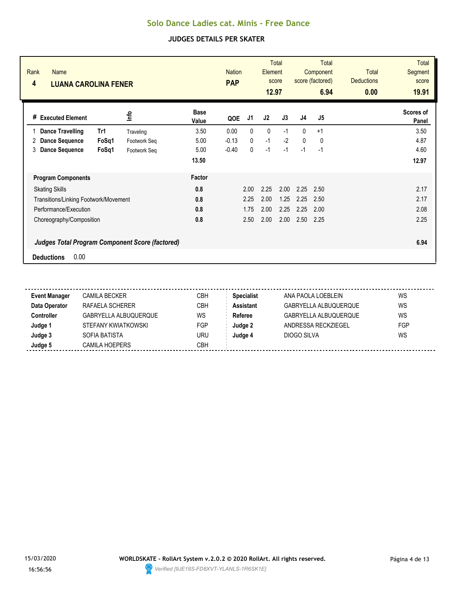| Rank<br><b>Name</b><br>4<br><b>LUANA CAROLINA FENER</b> |       |              |                      | <b>Nation</b><br><b>PAP</b> |      | <b>Element</b><br>12.97 | <b>Total</b><br>score | <b>Total</b><br>Component<br>score (factored)<br>6.94 |                | <b>Total</b><br><b>Deductions</b><br>0.00 | <b>Total</b><br>Segment<br>score<br>19.91 |
|---------------------------------------------------------|-------|--------------|----------------------|-----------------------------|------|-------------------------|-----------------------|-------------------------------------------------------|----------------|-------------------------------------------|-------------------------------------------|
| <b>Executed Element</b><br>#                            |       | 울            | <b>Base</b><br>Value | QOE                         | J1   | J2                      | J3                    | J <sub>4</sub>                                        | J <sub>5</sub> |                                           | <b>Scores of</b><br>Panel                 |
| <b>Dance Travelling</b>                                 | Tr1   | Traveling    | 3.50                 | 0.00                        | 0    | 0                       | $-1$                  | $\mathbf{0}$                                          | $+1$           |                                           | 3.50                                      |
| <b>Dance Sequence</b><br>2                              | FoSq1 | Footwork Seq | 5.00                 | $-0.13$                     | 0    | $-1$                    | $-2$                  | $\mathbf{0}$                                          | 0              |                                           | 4.87                                      |
| 3<br><b>Dance Sequence</b>                              | FoSq1 | Footwork Seq | 5.00                 | $-0.40$                     | 0    | $-1$                    | $-1$                  | $-1$                                                  | $-1$           |                                           | 4.60                                      |
|                                                         |       |              | 13.50                |                             |      |                         |                       |                                                       |                |                                           | 12.97                                     |
| <b>Program Components</b>                               |       |              | Factor               |                             |      |                         |                       |                                                       |                |                                           |                                           |
| <b>Skating Skills</b>                                   |       |              | 0.8                  |                             | 2.00 | 2.25                    | 2.00                  | 2.25                                                  | 2.50           |                                           | 2.17                                      |
| Transitions/Linking Footwork/Movement                   |       |              | 0.8                  |                             | 2.25 | 2.00                    | 1.25                  | 2.25                                                  | 2.50           |                                           | 2.17                                      |
| Performance/Execution                                   |       |              | 0.8                  |                             | 1.75 | 2.00                    | 2.25                  | 2.25                                                  | 2.00           |                                           | 2.08                                      |
| Choreography/Composition                                |       |              | 0.8                  |                             | 2.50 | 2.00                    | 2.00                  | 2.50                                                  | 2.25           |                                           | 2.25                                      |
| <b>Judges Total Program Component Score (factored)</b>  |       |              |                      |                             |      |                         |                       |                                                       |                |                                           | 6.94                                      |
| 0.00<br><b>Deductions</b>                               |       |              |                      |                             |      |                         |                       |                                                       |                |                                           |                                           |

| <b>Event Manager</b> | <b>CAMILA BECKER</b>  | CBH        | <b>Specialist</b> | ANA PAOLA LOEBLEIN    | WS  |
|----------------------|-----------------------|------------|-------------------|-----------------------|-----|
| Data Operator        | RAFAELA SCHERER       | СВН        | <b>Assistant</b>  | GABRYELLA ALBUQUERQUE | WS  |
| <b>Controller</b>    | GABRYELLA ALBUQUERQUE | WS         | Referee           | GABRYELLA ALBUQUERQUE | WS  |
| Judge 1              | STEFANY KWIATKOWSKI   | FGP        | Judge 2           | ANDRESSA RECKZIEGEL   | FGP |
| Judge 3              | SOFIA BATISTA         | uru        | Judge 4           | DIOGO SILVA           | WS  |
| Judge 5              | <b>CAMILA HOEPERS</b> | <b>CBH</b> |                   |                       |     |

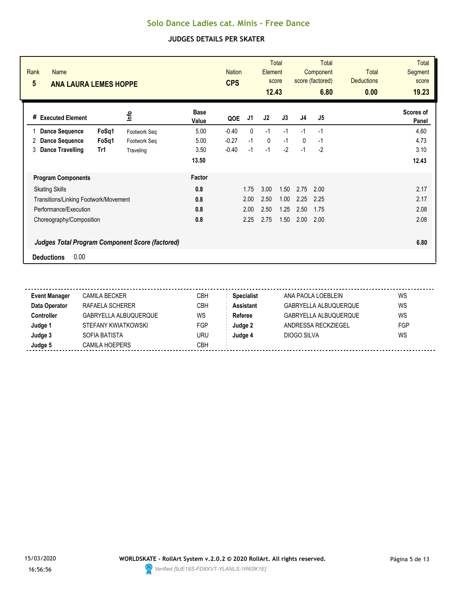| Rank<br><b>Name</b><br>5<br><b>ANA LAURA LEMES HOPPE</b> |       |              |                      | <b>Nation</b><br><b>CPS</b> |      | Element<br>12.43 | <b>Total</b><br>score | <b>Total</b><br>Component<br>score (factored)<br>6.80 |                | <b>Total</b><br><b>Deductions</b><br>0.00 | <b>Total</b><br>Segment<br>score<br>19.23 |
|----------------------------------------------------------|-------|--------------|----------------------|-----------------------------|------|------------------|-----------------------|-------------------------------------------------------|----------------|-------------------------------------------|-------------------------------------------|
| <b>Executed Element</b><br>#                             |       | lnfo         | <b>Base</b><br>Value | QOE                         | J1   | J2               | J3                    | J <sub>4</sub>                                        | J <sub>5</sub> |                                           | Scores of<br>Panel                        |
| <b>Dance Sequence</b>                                    | FoSq1 | Footwork Seq | 5.00                 | $-0.40$                     | 0    | $-1$             | $-1$                  | $-1$                                                  | $-1$           |                                           | 4.60                                      |
| <b>Dance Sequence</b><br>2                               | FoSq1 | Footwork Seg | 5.00                 | $-0.27$                     | $-1$ | 0                | $-1$                  | $\mathbf{0}$                                          | $-1$           |                                           | 4.73                                      |
| 3<br><b>Dance Travelling</b>                             | Tr1   | Traveling    | 3.50                 | $-0.40$                     | $-1$ | $-1$             | $-2$                  | $-1$                                                  | $-2$           |                                           | 3.10                                      |
|                                                          |       |              | 13.50                |                             |      |                  |                       |                                                       |                |                                           | 12.43                                     |
| <b>Program Components</b>                                |       |              | Factor               |                             |      |                  |                       |                                                       |                |                                           |                                           |
| <b>Skating Skills</b>                                    |       |              | 0.8                  |                             | 1.75 | 3.00             | 1.50                  | 2.75                                                  | 2.00           |                                           | 2.17                                      |
| Transitions/Linking Footwork/Movement                    |       |              | 0.8                  |                             | 2.00 | 2.50             | 1.00                  | 2.25                                                  | 2.25           |                                           | 2.17                                      |
| Performance/Execution                                    |       |              | 0.8                  |                             | 2.00 | 2.50             | 1.25                  | 2.50                                                  | 1.75           |                                           | 2.08                                      |
| Choreography/Composition                                 |       |              | 0.8                  |                             | 2.25 | 2.75             | 1.50                  | 2.00                                                  | 2.00           |                                           | 2.08                                      |
| <b>Judges Total Program Component Score (factored)</b>   |       |              |                      |                             |      |                  |                       |                                                       |                |                                           | 6.80                                      |
| 0.00<br><b>Deductions</b>                                |       |              |                      |                             |      |                  |                       |                                                       |                |                                           |                                           |

| <b>Event Manager</b> | CAMILA BECKER         | СВН       | <b>Specialist</b> | ANA PAOLA LOEBLEIN           | WS  |
|----------------------|-----------------------|-----------|-------------------|------------------------------|-----|
| Data Operator        | RAFAELA SCHERER       | CBH       | Assistant         | <b>GABRYELLA ALBUQUERQUE</b> | WS  |
| <b>Controller</b>    | GABRYELLA ALBUQUERQUE | <b>WS</b> | Referee           | <b>GABRYELLA ALBUQUERQUE</b> | WS  |
| Judge 1              | STEFANY KWIATKOWSKI   | FGP       | Judge 2           | ANDRESSA RECKZIEGEL          | FGP |
| Judge 3              | SOFIA BATISTA         | uru       | Judge 4           | DIOGO SILVA                  | WS  |
| Judge 5              | <b>CAMILA HOEPERS</b> | СВН       |                   |                              |     |

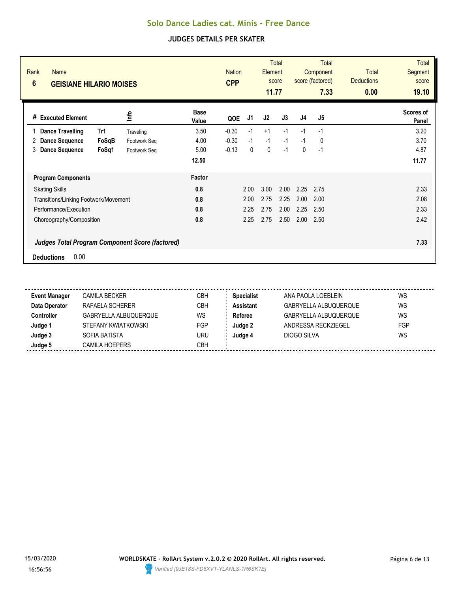| Rank<br><b>Name</b><br>$6\phantom{1}$<br><b>GEISIANE HILARIO MOISES</b> |       |              |                      | <b>Nation</b><br><b>CPP</b> |      | <b>Element</b><br>11.77 | <b>Total</b><br>score | <b>Total</b><br>Component<br>score (factored)<br>7.33 |                | <b>Total</b><br><b>Deductions</b><br>0.00 | <b>Total</b><br>Segment<br>score<br>19.10 |
|-------------------------------------------------------------------------|-------|--------------|----------------------|-----------------------------|------|-------------------------|-----------------------|-------------------------------------------------------|----------------|-------------------------------------------|-------------------------------------------|
| <b>Executed Element</b><br>#                                            |       | 울            | <b>Base</b><br>Value | QOE                         | J1   | J2                      | J3                    | J <sub>4</sub>                                        | J <sub>5</sub> |                                           | <b>Scores of</b><br>Panel                 |
| <b>Dance Travelling</b>                                                 | Tr1   | Traveling    | 3.50                 | $-0.30$                     | $-1$ | $+1$                    | $-1$                  | $-1$                                                  | $-1$           |                                           | 3.20                                      |
| <b>Dance Sequence</b><br>2                                              | FoSqB | Footwork Seq | 4.00                 | $-0.30$                     | $-1$ | $-1$                    | $-1$                  | $-1$                                                  | 0              |                                           | 3.70                                      |
| 3<br><b>Dance Sequence</b>                                              | FoSq1 | Footwork Seq | 5.00                 | $-0.13$                     | 0    | 0                       | $-1$                  | 0                                                     | $-1$           |                                           | 4.87                                      |
|                                                                         |       |              | 12.50                |                             |      |                         |                       |                                                       |                |                                           | 11.77                                     |
| <b>Program Components</b>                                               |       |              | Factor               |                             |      |                         |                       |                                                       |                |                                           |                                           |
| <b>Skating Skills</b>                                                   |       |              | 0.8                  |                             | 2.00 | 3.00                    | 2.00                  | 2.25                                                  | 2.75           |                                           | 2.33                                      |
| Transitions/Linking Footwork/Movement                                   |       |              | 0.8                  |                             | 2.00 | 2.75                    | 2.25                  | 2.00                                                  | 2.00           |                                           | 2.08                                      |
| Performance/Execution                                                   |       |              | 0.8                  |                             | 2.25 | 2.75                    | 2.00                  | 2.25                                                  | 2.50           |                                           | 2.33                                      |
| Choreography/Composition                                                |       |              | 0.8                  |                             | 2.25 | 2.75                    | 2.50                  | 2.00                                                  | 2.50           |                                           | 2.42                                      |
| <b>Judges Total Program Component Score (factored)</b>                  |       |              |                      |                             |      |                         |                       |                                                       |                |                                           | 7.33                                      |
| 0.00<br><b>Deductions</b>                                               |       |              |                      |                             |      |                         |                       |                                                       |                |                                           |                                           |

| <b>Event Manager</b> | <b>CAMILA BECKER</b>  | CBH        | <b>Specialist</b> | ANA PAOLA LOEBLEIN    | WS  |
|----------------------|-----------------------|------------|-------------------|-----------------------|-----|
| Data Operator        | RAFAELA SCHERER       | СВН        | <b>Assistant</b>  | GABRYELLA ALBUQUERQUE | WS  |
| <b>Controller</b>    | GABRYELLA ALBUQUERQUE | WS         | Referee           | GABRYELLA ALBUQUERQUE | WS  |
| Judge 1              | STEFANY KWIATKOWSKI   | FGP        | Judge 2           | ANDRESSA RECKZIEGEL   | FGP |
| Judge 3              | SOFIA BATISTA         | uru        | Judge 4           | DIOGO SILVA           | WS  |
| Judge 5              | <b>CAMILA HOEPERS</b> | <b>CBH</b> |                   |                       |     |

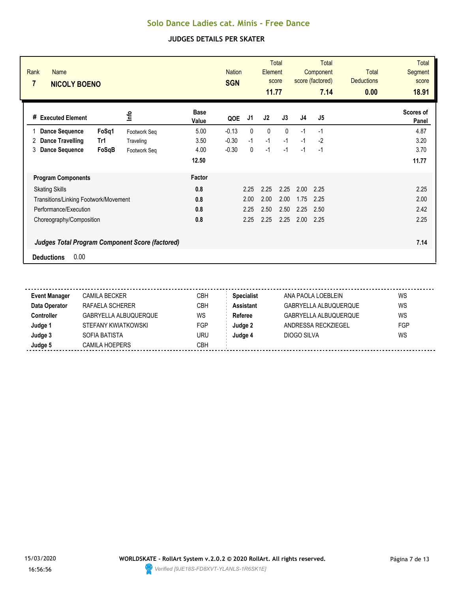| Rank<br><b>Name</b><br>$\overline{7}$<br><b>NICOLY BOENO</b> |       |              |                      | <b>Nation</b><br><b>SGN</b> |              | Element<br>11.77 | <b>Total</b><br>score | <b>Total</b><br>Component<br>score (factored)<br>7.14 |                | Total<br><b>Deductions</b><br>0.00 | <b>Total</b><br>Segment<br>score<br>18.91 |
|--------------------------------------------------------------|-------|--------------|----------------------|-----------------------------|--------------|------------------|-----------------------|-------------------------------------------------------|----------------|------------------------------------|-------------------------------------------|
| <b>Executed Element</b><br>#                                 |       | <u>lnfo</u>  | <b>Base</b><br>Value | QOE                         | J1           | J <sub>2</sub>   | J3                    | J <sub>4</sub>                                        | J <sub>5</sub> |                                    | <b>Scores of</b><br>Panel                 |
| <b>Dance Sequence</b>                                        | FoSq1 | Footwork Seq | 5.00                 | $-0.13$                     | $\mathbf{0}$ | $\mathbf{0}$     | $\mathbf{0}$          | $-1$                                                  | $-1$           |                                    | 4.87                                      |
| Dance Travelling<br>2                                        | Tr1   | Traveling    | 3.50                 | $-0.30$                     | $-1$         | $-1$             | $-1$                  | $-1$                                                  | $-2$           |                                    | 3.20                                      |
| <b>Dance Sequence</b><br>3                                   | FoSqB | Footwork Seq | 4.00                 | $-0.30$                     | 0            | $-1$             | $-1$                  | $-1$                                                  | $-1$           |                                    | 3.70                                      |
|                                                              |       |              | 12.50                |                             |              |                  |                       |                                                       |                |                                    | 11.77                                     |
| <b>Program Components</b>                                    |       |              | Factor               |                             |              |                  |                       |                                                       |                |                                    |                                           |
| <b>Skating Skills</b>                                        |       |              | 0.8                  |                             | 2.25         | 2.25             | 2.25                  | 2.00                                                  | 2.25           |                                    | 2.25                                      |
| Transitions/Linking Footwork/Movement                        |       |              | 0.8                  |                             | 2.00         | 2.00             | 2.00                  | 1.75                                                  | 2.25           |                                    | 2.00                                      |
| Performance/Execution                                        |       |              | 0.8                  |                             | 2.25         | 2.50             | 2.50                  | 2.25                                                  | 2.50           |                                    | 2.42                                      |
| Choreography/Composition                                     |       |              | 0.8                  |                             | 2.25         | 2.25             | 2.25                  | 2.00                                                  | 2.25           |                                    | 2.25                                      |
| <b>Judges Total Program Component Score (factored)</b>       |       |              |                      |                             |              |                  |                       |                                                       |                |                                    | 7.14                                      |
| 0.00<br><b>Deductions</b>                                    |       |              |                      |                             |              |                  |                       |                                                       |                |                                    |                                           |

| <b>Event Manager</b> | CAMILA BECKER         | СВН | <b>Specialist</b> | ANA PAOLA LOEBLEIN           | WS  |
|----------------------|-----------------------|-----|-------------------|------------------------------|-----|
| Data Operator        | RAFAELA SCHERER       | СВН | <b>Assistant</b>  | GABRYELLA ALBUQUERQUE        | WS  |
| <b>Controller</b>    | GABRYELLA ALBUQUERQUE | WS  | Referee           | <b>GABRYELLA ALBUQUERQUE</b> | WS  |
| Judge 1              | STEFANY KWIATKOWSKI   | FGP | Judge 2           | ANDRESSA RECKZIEGEL          | FGP |
| Judge 3              | SOFIA BATISTA         | uru | Judge 4           | DIOGO SILVA                  | WS  |
| Judge 5              | <b>CAMILA HOEPERS</b> | СВН |                   |                              |     |

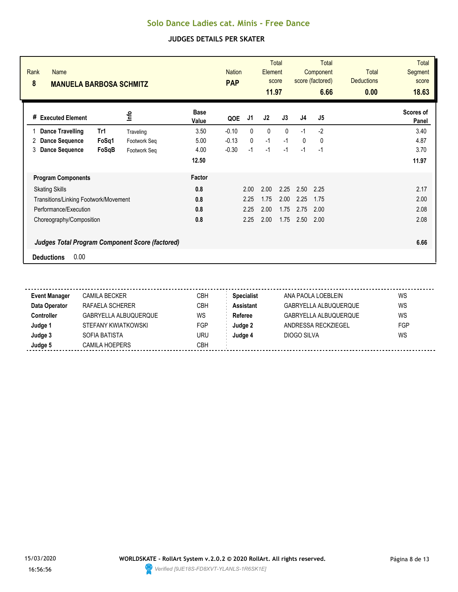| Rank<br><b>Name</b><br>8<br><b>MANUELA BARBOSA SCHMITZ</b> |              |                      | <b>PAP</b> | Total<br><b>Nation</b><br>Element<br>score<br>11.97 |      |              | <b>Total</b><br>Component<br>score (factored)<br>6.66 |                | <b>Total</b><br><b>Deductions</b><br>0.00 | <b>Total</b><br><b>Segment</b><br>score<br>18.63 |
|------------------------------------------------------------|--------------|----------------------|------------|-----------------------------------------------------|------|--------------|-------------------------------------------------------|----------------|-------------------------------------------|--------------------------------------------------|
| <b>Executed Element</b><br>#                               | lnfo         | <b>Base</b><br>Value | QOE        | J1                                                  | J2   | J3           | J <sub>4</sub>                                        | J <sub>5</sub> |                                           | <b>Scores of</b><br>Panel                        |
| <b>Dance Travelling</b><br>Tr1                             | Traveling    | 3.50                 | $-0.10$    | 0                                                   | 0    | $\mathbf{0}$ | $-1$                                                  | $-2$           |                                           | 3.40                                             |
| FoSq1<br><b>Dance Sequence</b><br>2                        | Footwork Seq | 5.00                 | $-0.13$    | 0                                                   | $-1$ | $-1$         | $\mathbf 0$                                           | 0              |                                           | 4.87                                             |
| 3<br><b>Dance Sequence</b><br>FoSqB                        | Footwork Seg | 4.00                 | $-0.30$    | $-1$                                                | $-1$ | $-1$         | $-1$                                                  | $-1$           |                                           | 3.70                                             |
|                                                            |              | 12.50                |            |                                                     |      |              |                                                       |                |                                           | 11.97                                            |
| <b>Program Components</b>                                  |              | Factor               |            |                                                     |      |              |                                                       |                |                                           |                                                  |
| <b>Skating Skills</b>                                      |              | 0.8                  |            | 2.00                                                | 2.00 | 2.25         | 2.50                                                  | 2.25           |                                           | 2.17                                             |
| Transitions/Linking Footwork/Movement                      |              | 0.8                  |            | 2.25                                                | 1.75 | 2.00         | 2.25                                                  | 1.75           |                                           | 2.00                                             |
| Performance/Execution                                      |              | 0.8                  |            | 2.25                                                | 2.00 | 1.75         | 2.75                                                  | 2.00           |                                           | 2.08                                             |
| Choreography/Composition                                   |              | 0.8                  |            | 2.25                                                | 2.00 | 1.75         | 2.50                                                  | 2.00           |                                           | 2.08                                             |
| <b>Judges Total Program Component Score (factored)</b>     |              |                      |            |                                                     |      |              |                                                       |                |                                           | 6.66                                             |
| 0.00<br><b>Deductions</b>                                  |              |                      |            |                                                     |      |              |                                                       |                |                                           |                                                  |

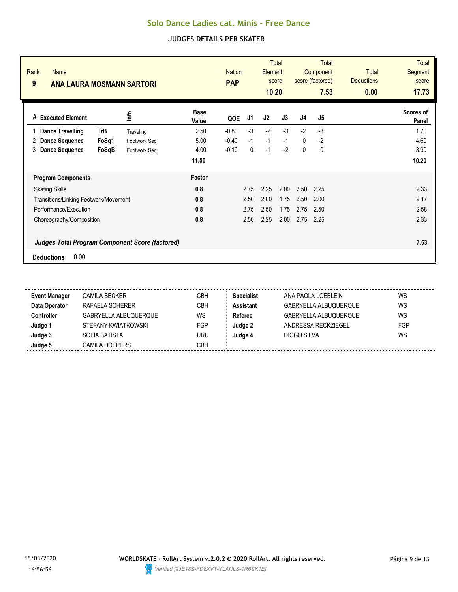| Rank<br><b>Name</b><br>9<br><b>ANA LAURA MOSMANN SARTORI</b> |       |              | <b>PAP</b>           | <b>Total</b><br><b>Nation</b><br><b>Element</b><br>score<br>10.20 |      |      | <b>Total</b><br>Component<br>score (factored)<br>7.53 |                | <b>Total</b><br><b>Deductions</b><br>0.00 | <b>Total</b><br>Segment<br>score<br>17.73 |                           |
|--------------------------------------------------------------|-------|--------------|----------------------|-------------------------------------------------------------------|------|------|-------------------------------------------------------|----------------|-------------------------------------------|-------------------------------------------|---------------------------|
| <b>Executed Element</b><br>#                                 |       | lnfo         | <b>Base</b><br>Value | QOE                                                               | J1   | J2   | J3                                                    | J <sub>4</sub> | J <sub>5</sub>                            |                                           | <b>Scores of</b><br>Panel |
| <b>Dance Travelling</b>                                      | TrB   | Traveling    | 2.50                 | $-0.80$                                                           | $-3$ | $-2$ | $-3$                                                  | $-2$           | $-3$                                      |                                           | 1.70                      |
| <b>Dance Sequence</b><br>2                                   | FoSq1 | Footwork Seq | 5.00                 | $-0.40$                                                           | $-1$ | $-1$ | $-1$                                                  | $\mathbf{0}$   | $-2$                                      |                                           | 4.60                      |
| 3<br><b>Dance Sequence</b>                                   | FoSgB | Footwork Seq | 4.00                 | $-0.10$                                                           | 0    | $-1$ | $-2$                                                  | $\mathbf{0}$   | $\mathbf 0$                               |                                           | 3.90                      |
|                                                              |       |              | 11.50                |                                                                   |      |      |                                                       |                |                                           |                                           | 10.20                     |
| <b>Program Components</b>                                    |       |              | Factor               |                                                                   |      |      |                                                       |                |                                           |                                           |                           |
| <b>Skating Skills</b>                                        |       |              | 0.8                  |                                                                   | 2.75 | 2.25 | 2.00                                                  | 2.50           | 2.25                                      |                                           | 2.33                      |
| Transitions/Linking Footwork/Movement                        |       |              | 0.8                  |                                                                   | 2.50 | 2.00 | 1.75                                                  | 2.50           | 2.00                                      |                                           | 2.17                      |
| Performance/Execution                                        |       |              | 0.8                  |                                                                   | 2.75 | 2.50 | 1.75                                                  | 2.75           | 2.50                                      |                                           | 2.58                      |
| Choreography/Composition                                     |       |              | 0.8                  |                                                                   | 2.50 | 2.25 | 2.00                                                  | 2.75           | 2.25                                      |                                           | 2.33                      |
| <b>Judges Total Program Component Score (factored)</b>       |       |              |                      |                                                                   |      |      |                                                       |                |                                           |                                           | 7.53                      |
| 0.00<br><b>Deductions</b>                                    |       |              |                      |                                                                   |      |      |                                                       |                |                                           |                                           |                           |

| <b>Event Manager</b> | <b>CAMILA BECKER</b>  | CBH        | <b>Specialist</b> | ANA PAOLA LOEBLEIN    | WS  |
|----------------------|-----------------------|------------|-------------------|-----------------------|-----|
| Data Operator        | RAFAELA SCHERER       | СВН        | <b>Assistant</b>  | GABRYELLA ALBUQUERQUE | WS  |
| <b>Controller</b>    | GABRYELLA ALBUQUERQUE | WS         | Referee           | GABRYELLA ALBUQUERQUE | WS  |
| Judge 1              | STEFANY KWIATKOWSKI   | FGP        | Judge 2           | ANDRESSA RECKZIEGEL   | FGP |
| Judge 3              | SOFIA BATISTA         | uru        | Judge 4           | DIOGO SILVA           | WS  |
| Judge 5              | <b>CAMILA HOEPERS</b> | <b>CBH</b> |                   |                       |     |

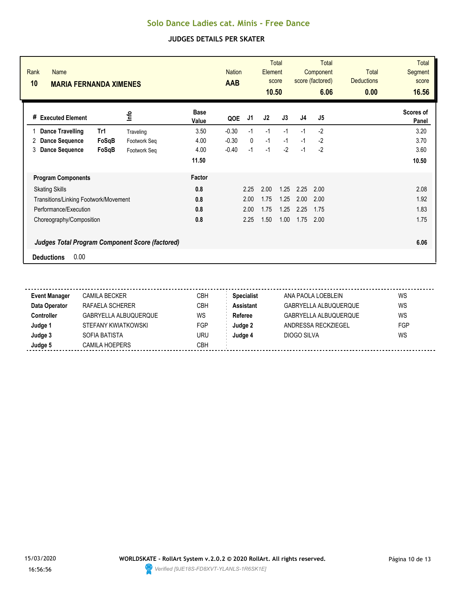| Rank<br><b>Name</b><br>10<br><b>MARIA FERNANDA XIMENES</b> |              |                      | <b>Nation</b><br><b>AAB</b> | <b>Total</b><br>Element<br>score<br>10.50 |      |      | <b>Total</b><br>Component<br>score (factored)<br>6.06 |      | <b>Total</b><br><b>Deductions</b><br>0.00 | <b>Total</b><br>Segment<br>score<br>16.56 |
|------------------------------------------------------------|--------------|----------------------|-----------------------------|-------------------------------------------|------|------|-------------------------------------------------------|------|-------------------------------------------|-------------------------------------------|
| <b>Executed Element</b><br>#                               | lnfo         | <b>Base</b><br>Value | QOE                         | J1                                        | J2   | J3   | J <sub>4</sub>                                        | J5   |                                           | Scores of<br>Panel                        |
| <b>Dance Travelling</b><br>Tr1                             | Traveling    | 3.50                 | $-0.30$                     | $-1$                                      | $-1$ | $-1$ | $-1$                                                  | $-2$ |                                           | 3.20                                      |
| FoSqB<br><b>Dance Sequence</b><br>2                        | Footwork Seq | 4.00                 | $-0.30$                     | $\mathbf{0}$                              | $-1$ | $-1$ | $-1$                                                  | $-2$ |                                           | 3.70                                      |
| 3<br><b>Dance Sequence</b><br>FoSqB                        | Footwork Seg | 4.00                 | $-0.40$                     | $-1$                                      | $-1$ | $-2$ | $-1$                                                  | $-2$ |                                           | 3.60                                      |
|                                                            |              | 11.50                |                             |                                           |      |      |                                                       |      |                                           | 10.50                                     |
| <b>Program Components</b>                                  |              | Factor               |                             |                                           |      |      |                                                       |      |                                           |                                           |
| <b>Skating Skills</b>                                      |              | 0.8                  |                             | 2.25                                      | 2.00 | 1.25 | 2.25                                                  | 2.00 |                                           | 2.08                                      |
| Transitions/Linking Footwork/Movement                      |              | 0.8                  |                             | 2.00                                      | 1.75 | 1.25 | 2.00                                                  | 2.00 |                                           | 1.92                                      |
| Performance/Execution                                      |              | 0.8                  |                             | 2.00                                      | 1.75 | 1.25 | 2.25                                                  | 1.75 |                                           | 1.83                                      |
| Choreography/Composition                                   |              | 0.8                  |                             | 2.25                                      | 1.50 | 1.00 | 1.75                                                  | 2.00 |                                           | 1.75                                      |
| <b>Judges Total Program Component Score (factored)</b>     |              |                      |                             |                                           |      |      |                                                       |      |                                           | 6.06                                      |
| 0.00<br><b>Deductions</b>                                  |              |                      |                             |                                           |      |      |                                                       |      |                                           |                                           |

| <b>Event Manager</b> | CAMILA BECKER         | СВН       | <b>Specialist</b> | ANA PAOLA LOEBLEIN           | WS  |
|----------------------|-----------------------|-----------|-------------------|------------------------------|-----|
| Data Operator        | RAFAELA SCHERER       | CBH       | Assistant         | <b>GABRYELLA ALBUQUERQUE</b> | WS  |
| <b>Controller</b>    | GABRYELLA ALBUQUERQUE | <b>WS</b> | Referee           | <b>GABRYELLA ALBUQUERQUE</b> | WS  |
| Judge 1              | STEFANY KWIATKOWSKI   | FGP       | Judge 2           | ANDRESSA RECKZIEGEL          | FGP |
| Judge 3              | SOFIA BATISTA         | uru       | Judge 4           | DIOGO SILVA                  | WS  |
| Judge 5              | <b>CAMILA HOEPERS</b> | СВН       |                   |                              |     |

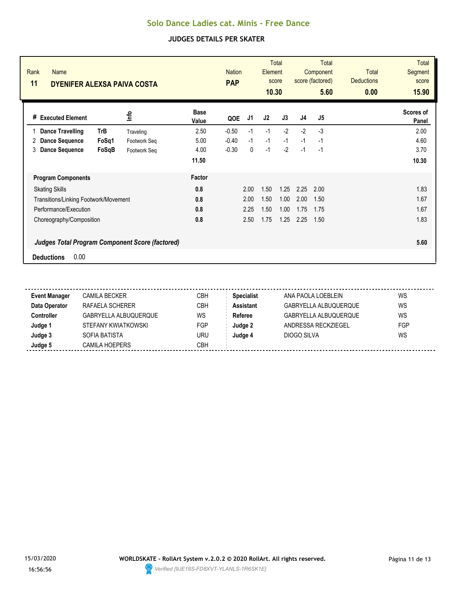| Rank<br><b>Name</b><br>11<br><b>DYENIFER ALEXSA PAIVA COSTA</b> |              |                      | <b>PAP</b> | <b>Nation</b> |      | <b>Total</b><br>Element<br>score<br>10.30 |                | <b>Total</b><br>Component<br>score (factored)<br>5.60 | Total<br><b>Deductions</b><br>0.00 | <b>Total</b><br>Segment<br>score<br>15.90 |
|-----------------------------------------------------------------|--------------|----------------------|------------|---------------|------|-------------------------------------------|----------------|-------------------------------------------------------|------------------------------------|-------------------------------------------|
| <b>Executed Element</b><br>#                                    | lnfo         | <b>Base</b><br>Value | QOE        | J1            | J2   | J3                                        | J <sub>4</sub> | J <sub>5</sub>                                        |                                    | Scores of<br>Panel                        |
| TrB<br><b>Dance Travelling</b>                                  | Traveling    | 2.50                 | $-0.50$    | $-1$          | $-1$ | $-2$                                      | $-2$           | $-3$                                                  |                                    | 2.00                                      |
| FoSq1<br><b>Dance Sequence</b><br>2                             | Footwork Seq | 5.00                 | $-0.40$    | $-1$          | $-1$ | $-1$                                      | $-1$           | $-1$                                                  |                                    | 4.60                                      |
| 3<br><b>Dance Sequence</b><br>FoSqB                             | Footwork Seg | 4.00                 | $-0.30$    | 0             | $-1$ | $-2$                                      | $-1$           | $-1$                                                  |                                    | 3.70                                      |
|                                                                 |              | 11.50                |            |               |      |                                           |                |                                                       |                                    | 10.30                                     |
| <b>Program Components</b>                                       |              | Factor               |            |               |      |                                           |                |                                                       |                                    |                                           |
| <b>Skating Skills</b>                                           |              | 0.8                  |            | 2.00          | 1.50 | 1.25                                      | 2.25           | 2.00                                                  |                                    | 1.83                                      |
| Transitions/Linking Footwork/Movement                           |              | 0.8                  |            | 2.00          | 1.50 | 1.00                                      | 2.00           | 1.50                                                  |                                    | 1.67                                      |
| Performance/Execution                                           |              | 0.8                  |            | 2.25          | 1.50 | 1.00                                      | 1.75           | 1.75                                                  |                                    | 1.67                                      |
| Choreography/Composition                                        |              | 0.8                  |            | 2.50          | 1.75 | 1.25                                      | 2.25           | 1.50                                                  |                                    | 1.83                                      |
| <b>Judges Total Program Component Score (factored)</b>          |              |                      |            |               |      |                                           |                |                                                       |                                    | 5.60                                      |
| 0.00<br><b>Deductions</b>                                       |              |                      |            |               |      |                                           |                |                                                       |                                    |                                           |

| <b>Event Manager</b> | CAMILA BECKER         | СВН       | <b>Specialist</b> | ANA PAOLA LOEBLEIN           | WS  |
|----------------------|-----------------------|-----------|-------------------|------------------------------|-----|
| Data Operator        | RAFAELA SCHERER       | CBH       | Assistant         | <b>GABRYELLA ALBUQUERQUE</b> | WS  |
| <b>Controller</b>    | GABRYELLA ALBUQUERQUE | <b>WS</b> | Referee           | <b>GABRYELLA ALBUQUERQUE</b> | WS  |
| Judge 1              | STEFANY KWIATKOWSKI   | FGP       | Judge 2           | ANDRESSA RECKZIEGEL          | FGP |
| Judge 3              | SOFIA BATISTA         | uru       | Judge 4           | DIOGO SILVA                  | WS  |
| Judge 5              | <b>CAMILA HOEPERS</b> | СВН       |                   |                              |     |

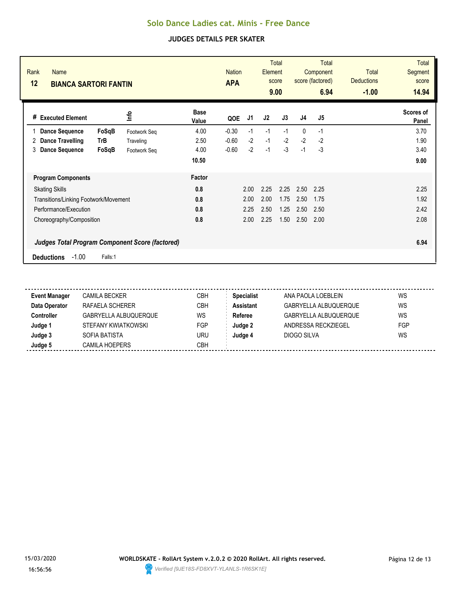| Rank<br><b>Name</b><br>12<br><b>BIANCA SARTORI FANTIN</b> |              |                      | <b>APA</b> | <b>Total</b><br><b>Nation</b><br><b>Element</b><br>score<br>9.00 |      | <b>Total</b><br>Component<br>score (factored)<br>6.94 |                | Total<br><b>Deductions</b><br>$-1.00$ | <b>Total</b><br><b>Segment</b><br>score<br>14.94 |                           |
|-----------------------------------------------------------|--------------|----------------------|------------|------------------------------------------------------------------|------|-------------------------------------------------------|----------------|---------------------------------------|--------------------------------------------------|---------------------------|
| <b>Executed Element</b><br>#                              | lnfo         | <b>Base</b><br>Value | QOE        | J1                                                               | J2   | J3                                                    | J <sub>4</sub> | J <sub>5</sub>                        |                                                  | <b>Scores of</b><br>Panel |
| <b>Dance Sequence</b><br>FoSqB                            | Footwork Seq | 4.00                 | $-0.30$    | $-1$                                                             | $-1$ | $-1$                                                  | $\mathbf{0}$   | $-1$                                  |                                                  | 3.70                      |
| <b>Dance Travelling</b><br>TrB<br>2                       | Traveling    | 2.50                 | $-0.60$    | $-2$                                                             | $-1$ | $-2$                                                  | $-2$           | $-2$                                  |                                                  | 1.90                      |
| <b>Dance Sequence</b><br>FoSqB<br>3                       | Footwork Seq | 4.00                 | $-0.60$    | $-2$                                                             | $-1$ | $-3$                                                  | $-1$           | -3                                    |                                                  | 3.40                      |
|                                                           |              | 10.50                |            |                                                                  |      |                                                       |                |                                       |                                                  | 9.00                      |
| <b>Program Components</b>                                 |              | Factor               |            |                                                                  |      |                                                       |                |                                       |                                                  |                           |
| <b>Skating Skills</b>                                     |              | 0.8                  |            | 2.00                                                             | 2.25 | 2.25                                                  | 2.50           | 2.25                                  |                                                  | 2.25                      |
| Transitions/Linking Footwork/Movement                     |              | 0.8                  |            | 2.00                                                             | 2.00 | 1.75                                                  | 2.50           | 1.75                                  |                                                  | 1.92                      |
| Performance/Execution                                     |              | 0.8                  |            | 2.25                                                             | 2.50 | 1.25                                                  | 2.50           | 2.50                                  |                                                  | 2.42                      |
| Choreography/Composition                                  |              | 0.8                  |            | 2.00                                                             | 2.25 | 1.50                                                  | 2.50           | 2.00                                  |                                                  | 2.08                      |
| <b>Judges Total Program Component Score (factored)</b>    |              |                      |            |                                                                  |      |                                                       |                |                                       |                                                  | 6.94                      |
| $-1.00$<br><b>Deductions</b><br>Falls:1                   |              |                      |            |                                                                  |      |                                                       |                |                                       |                                                  |                           |

| <b>Event Manager</b> | CAMILA BECKER         | СВН       | <b>Specialist</b> | ANA PAOLA LOEBLEIN           | WS  |
|----------------------|-----------------------|-----------|-------------------|------------------------------|-----|
| Data Operator        | RAFAELA SCHERER       | CBH       | Assistant         | <b>GABRYELLA ALBUQUERQUE</b> | WS  |
| <b>Controller</b>    | GABRYELLA ALBUQUERQUE | <b>WS</b> | Referee           | <b>GABRYELLA ALBUQUERQUE</b> | WS  |
| Judge 1              | STEFANY KWIATKOWSKI   | FGP       | Judge 2           | ANDRESSA RECKZIEGEL          | FGP |
| Judge 3              | SOFIA BATISTA         | uru       | Judge 4           | DIOGO SILVA                  | WS  |
| Judge 5              | <b>CAMILA HOEPERS</b> | СВН       |                   |                              |     |